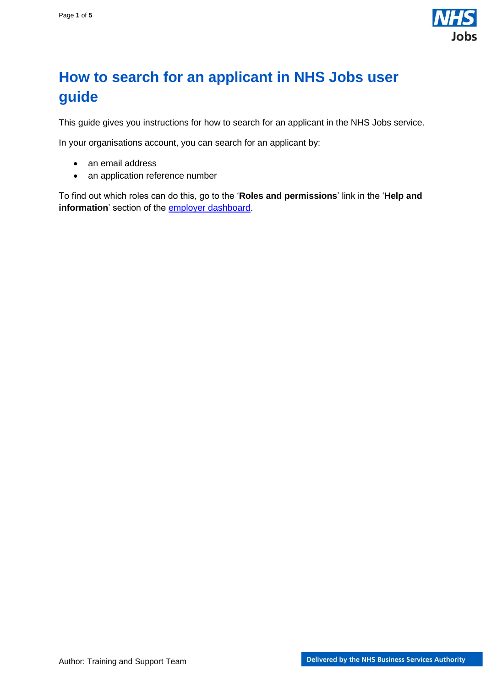

## <span id="page-0-0"></span>**How to search for an applicant in NHS Jobs user guide**

This guide gives you instructions for how to search for an applicant in the NHS Jobs service.

In your organisations account, you can search for an applicant by:

- an email address
- an application reference number

To find out which roles can do this, go to the '**Roles and permissions**' link in the '**Help and**  information' section of the **employer dashboard**.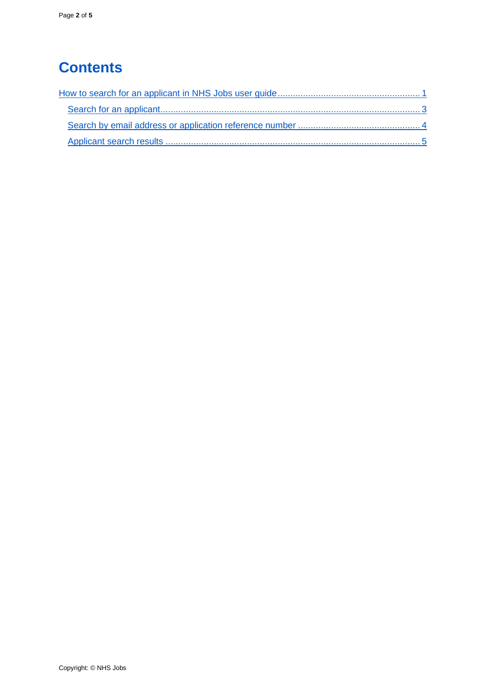# **Contents**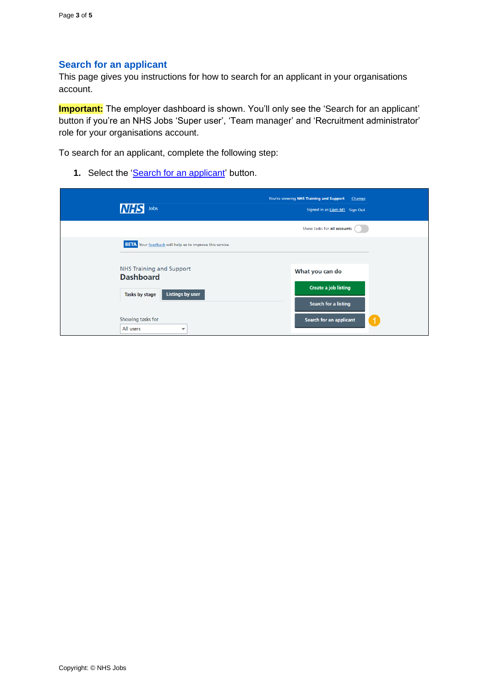#### <span id="page-2-0"></span>**Search for an applicant**

This page gives you instructions for how to search for an applicant in your organisations account.

**Important:** The employer dashboard is shown. You'll only see the 'Search for an applicant' button if you're an NHS Jobs 'Super user', 'Team manager' and 'Recruitment administrator' role for your organisations account.

To search for an applicant, complete the following step:

1. Select the ['Search for an applicant'](#page-3-0) button.

| <b>NHS</b><br>Jobs                                                                               | You're viewing NHS Training and Support Change<br>Signed in as Liam M1 Sign Out |
|--------------------------------------------------------------------------------------------------|---------------------------------------------------------------------------------|
|                                                                                                  | Show tasks for all accounts                                                     |
| <b>BETA</b> Your feedback will help us to improve this service.                                  |                                                                                 |
| <b>NHS Training and Support</b><br><b>Dashboard</b><br><b>Listings by user</b><br>Tasks by stage | What you can do<br><b>Create a job listing</b><br><b>Search for a listing</b>   |
| Showing tasks for<br>All users<br>$\checkmark$                                                   | Search for an applicant                                                         |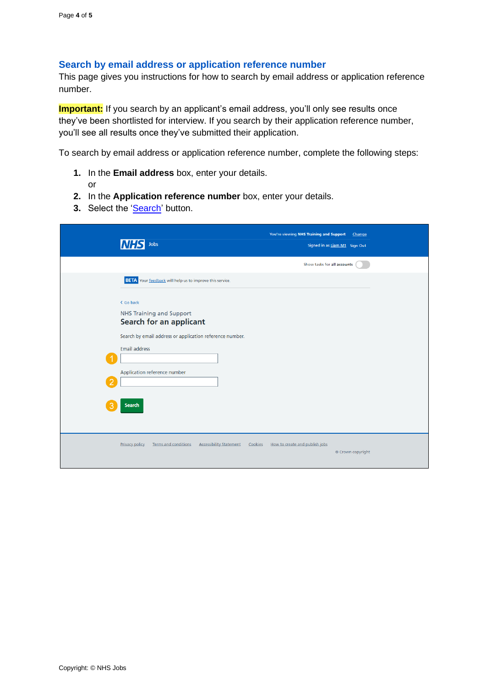#### <span id="page-3-0"></span>**Search by email address or application reference number**

This page gives you instructions for how to search by email address or application reference number.

**Important:** If you search by an applicant's email address, you'll only see results once they've been shortlisted for interview. If you search by their application reference number, you'll see all results once they've submitted their application.

To search by email address or application reference number, complete the following steps:

- **1.** In the **Email address** box, enter your details.
	- or
- **2.** In the **Application reference number** box, enter your details.
- **3.** Select the ['Search'](#page-4-0) button.

| Jobs<br><b>INHS</b>                                                                                                                                                                                          | You're viewing NHS Training and Support<br><b>Change</b><br>Signed in as Liam M1 Sign Out |
|--------------------------------------------------------------------------------------------------------------------------------------------------------------------------------------------------------------|-------------------------------------------------------------------------------------------|
|                                                                                                                                                                                                              | Show tasks for all accounts                                                               |
| <b>BETA</b> Your feedback will help us to improve this service.                                                                                                                                              |                                                                                           |
| < Go back<br><b>NHS Training and Support</b><br>Search for an applicant<br>Search by email address or application reference number.<br><b>Email address</b><br>Application reference number<br><b>Search</b> |                                                                                           |
|                                                                                                                                                                                                              |                                                                                           |
| <b>Accessibility Statement</b><br>Privacy policy<br>Terms and conditions<br>Cookies                                                                                                                          | How to create and publish jobs<br>© Crown copyright                                       |